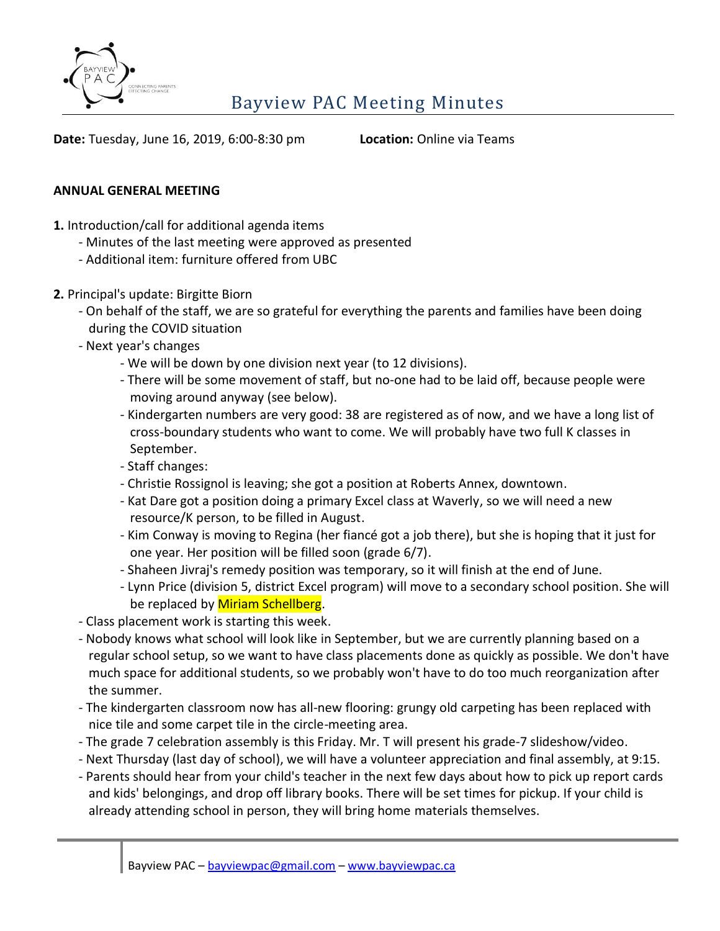

**Date:** Tuesday, June 16, 2019, 6:00-8:30 pm **Location:** Online via Teams

## **ANNUAL GENERAL MEETING**

- **1.** Introduction/call for additional agenda items
	- Minutes of the last meeting were approved as presented
	- Additional item: furniture offered from UBC
- **2.** Principal's update: Birgitte Biorn
	- On behalf of the staff, we are so grateful for everything the parents and families have been doing during the COVID situation
	- Next year's changes
		- We will be down by one division next year (to 12 divisions).
		- There will be some movement of staff, but no-one had to be laid off, because people were moving around anyway (see below).
		- Kindergarten numbers are very good: 38 are registered as of now, and we have a long list of cross-boundary students who want to come. We will probably have two full K classes in September.
		- Staff changes:
		- Christie Rossignol is leaving; she got a position at Roberts Annex, downtown.
		- Kat Dare got a position doing a primary Excel class at Waverly, so we will need a new resource/K person, to be filled in August.
		- Kim Conway is moving to Regina (her fiancé got a job there), but she is hoping that it just for one year. Her position will be filled soon (grade 6/7).
		- Shaheen Jivraj's remedy position was temporary, so it will finish at the end of June.
		- Lynn Price (division 5, district Excel program) will move to a secondary school position. She will be replaced by Miriam Schellberg.
	- Class placement work is starting this week.
	- Nobody knows what school will look like in September, but we are currently planning based on a regular school setup, so we want to have class placements done as quickly as possible. We don't have much space for additional students, so we probably won't have to do too much reorganization after the summer.
	- The kindergarten classroom now has all-new flooring: grungy old carpeting has been replaced with nice tile and some carpet tile in the circle-meeting area.
	- The grade 7 celebration assembly is this Friday. Mr. T will present his grade-7 slideshow/video.
	- Next Thursday (last day of school), we will have a volunteer appreciation and final assembly, at 9:15.
	- Parents should hear from your child's teacher in the next few days about how to pick up report cards and kids' belongings, and drop off library books. There will be set times for pickup. If your child is already attending school in person, they will bring home materials themselves.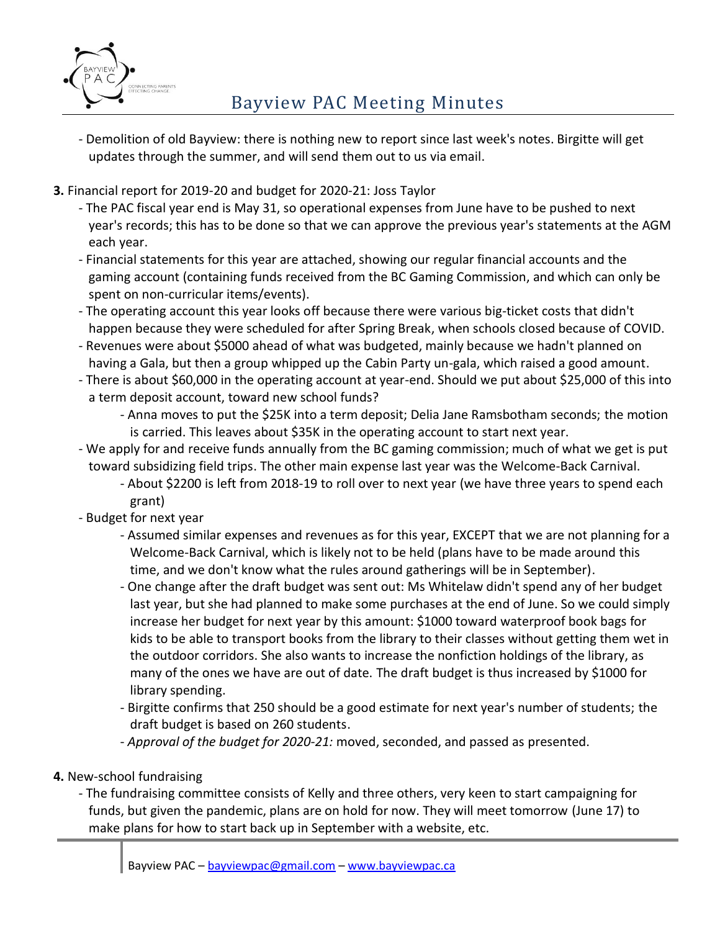

- Demolition of old Bayview: there is nothing new to report since last week's notes. Birgitte will get updates through the summer, and will send them out to us via email.
- **3.** Financial report for 2019-20 and budget for 2020-21: Joss Taylor
	- The PAC fiscal year end is May 31, so operational expenses from June have to be pushed to next year's records; this has to be done so that we can approve the previous year's statements at the AGM each year.
	- Financial statements for this year are attached, showing our regular financial accounts and the gaming account (containing funds received from the BC Gaming Commission, and which can only be spent on non-curricular items/events).
	- The operating account this year looks off because there were various big-ticket costs that didn't happen because they were scheduled for after Spring Break, when schools closed because of COVID.
	- Revenues were about \$5000 ahead of what was budgeted, mainly because we hadn't planned on having a Gala, but then a group whipped up the Cabin Party un-gala, which raised a good amount.
	- There is about \$60,000 in the operating account at year-end. Should we put about \$25,000 of this into a term deposit account, toward new school funds?
		- Anna moves to put the \$25K into a term deposit; Delia Jane Ramsbotham seconds; the motion is carried. This leaves about \$35K in the operating account to start next year.
	- We apply for and receive funds annually from the BC gaming commission; much of what we get is put toward subsidizing field trips. The other main expense last year was the Welcome-Back Carnival.
		- About \$2200 is left from 2018-19 to roll over to next year (we have three years to spend each grant)
	- Budget for next year
		- Assumed similar expenses and revenues as for this year, EXCEPT that we are not planning for a Welcome-Back Carnival, which is likely not to be held (plans have to be made around this time, and we don't know what the rules around gatherings will be in September).
		- One change after the draft budget was sent out: Ms Whitelaw didn't spend any of her budget last year, but she had planned to make some purchases at the end of June. So we could simply increase her budget for next year by this amount: \$1000 toward waterproof book bags for kids to be able to transport books from the library to their classes without getting them wet in the outdoor corridors. She also wants to increase the nonfiction holdings of the library, as many of the ones we have are out of date. The draft budget is thus increased by \$1000 for library spending.
		- Birgitte confirms that 250 should be a good estimate for next year's number of students; the draft budget is based on 260 students.
		- *Approval of the budget for 2020-21:* moved, seconded, and passed as presented.

## **4.** New-school fundraising

- The fundraising committee consists of Kelly and three others, very keen to start campaigning for funds, but given the pandemic, plans are on hold for now. They will meet tomorrow (June 17) to make plans for how to start back up in September with a website, etc.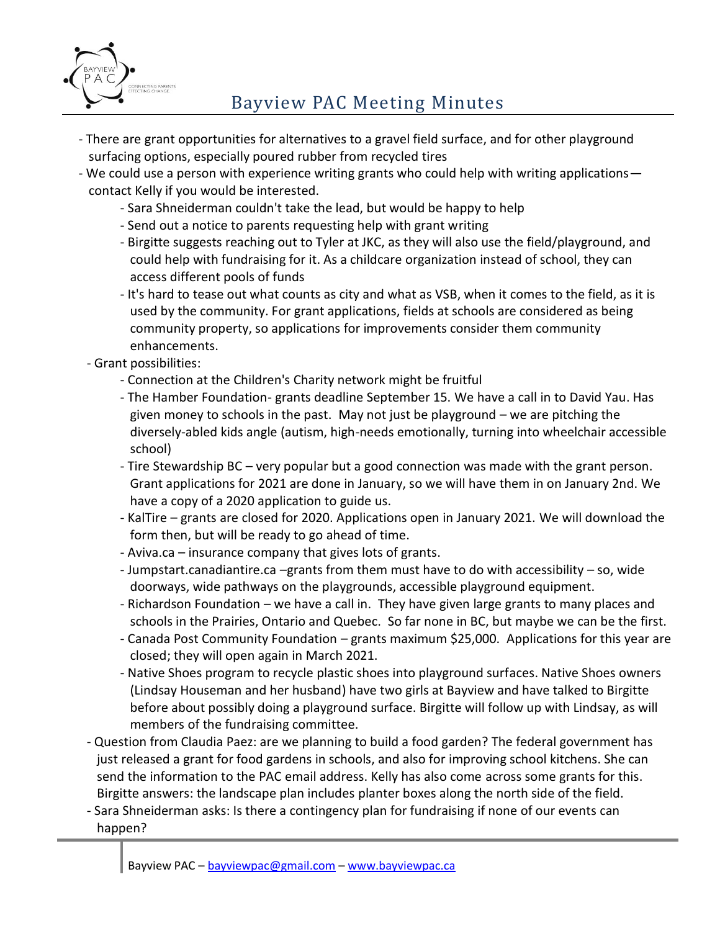

- There are grant opportunities for alternatives to a gravel field surface, and for other playground surfacing options, especially poured rubber from recycled tires
- We could use a person with experience writing grants who could help with writing applications contact Kelly if you would be interested.
	- Sara Shneiderman couldn't take the lead, but would be happy to help
	- Send out a notice to parents requesting help with grant writing
	- Birgitte suggests reaching out to Tyler at JKC, as they will also use the field/playground, and could help with fundraising for it. As a childcare organization instead of school, they can access different pools of funds
	- It's hard to tease out what counts as city and what as VSB, when it comes to the field, as it is used by the community. For grant applications, fields at schools are considered as being community property, so applications for improvements consider them community enhancements.
	- Grant possibilities:
		- Connection at the Children's Charity network might be fruitful
		- The Hamber Foundation- grants deadline September 15. We have a call in to David Yau. Has given money to schools in the past. May not just be playground – we are pitching the diversely-abled kids angle (autism, high-needs emotionally, turning into wheelchair accessible school)
		- Tire Stewardship BC very popular but a good connection was made with the grant person. Grant applications for 2021 are done in January, so we will have them in on January 2nd. We have a copy of a 2020 application to guide us.
		- KalTire grants are closed for 2020. Applications open in January 2021. We will download the form then, but will be ready to go ahead of time.
		- Aviva.ca insurance company that gives lots of grants.
		- Jumpstart.canadiantire.ca –grants from them must have to do with accessibility so, wide doorways, wide pathways on the playgrounds, accessible playground equipment.
		- Richardson Foundation we have a call in. They have given large grants to many places and schools in the Prairies, Ontario and Quebec. So far none in BC, but maybe we can be the first.
		- Canada Post Community Foundation grants maximum \$25,000. Applications for this year are closed; they will open again in March 2021.
		- Native Shoes program to recycle plastic shoes into playground surfaces. Native Shoes owners (Lindsay Houseman and her husband) have two girls at Bayview and have talked to Birgitte before about possibly doing a playground surface. Birgitte will follow up with Lindsay, as will members of the fundraising committee.
	- Question from Claudia Paez: are we planning to build a food garden? The federal government has just released a grant for food gardens in schools, and also for improving school kitchens. She can send the information to the PAC email address. Kelly has also come across some grants for this. Birgitte answers: the landscape plan includes planter boxes along the north side of the field.
	- Sara Shneiderman asks: Is there a contingency plan for fundraising if none of our events can happen?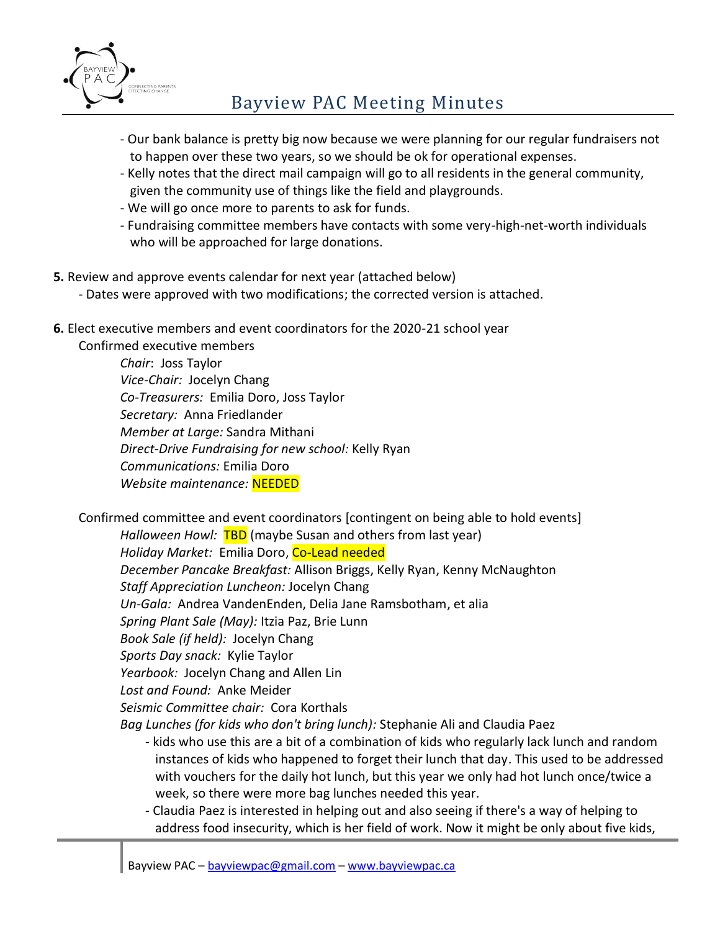

- Our bank balance is pretty big now because we were planning for our regular fundraisers not to happen over these two years, so we should be ok for operational expenses.
- Kelly notes that the direct mail campaign will go to all residents in the general community, given the community use of things like the field and playgrounds.
- We will go once more to parents to ask for funds.
- Fundraising committee members have contacts with some very-high-net-worth individuals who will be approached for large donations.
- **5.** Review and approve events calendar for next year (attached below)
	- Dates were approved with two modifications; the corrected version is attached.
- **6.** Elect executive members and event coordinators for the 2020-21 school year

Confirmed executive members *Chair*: Joss Taylor *Vice-Chair:* Jocelyn Chang *Co-Treasurers:* Emilia Doro, Joss Taylor *Secretary:* Anna Friedlander *Member at Large:* Sandra Mithani *Direct-Drive Fundraising for new school:* Kelly Ryan *Communications:* Emilia Doro *Website maintenance:* NEEDED

Confirmed committee and event coordinators [contingent on being able to hold events]

*Halloween Howl:* TBD (maybe Susan and others from last year) *Holiday Market:* Emilia Doro, Co-Lead needed *December Pancake Breakfast:* Allison Briggs, Kelly Ryan, Kenny McNaughton *Staff Appreciation Luncheon:* Jocelyn Chang *Un-Gala:* Andrea VandenEnden, Delia Jane Ramsbotham, et alia *Spring Plant Sale (May):* Itzia Paz, Brie Lunn *Book Sale (if held):* Jocelyn Chang *Sports Day snack:* Kylie Taylor *Yearbook:* Jocelyn Chang and Allen Lin *Lost and Found:* Anke Meider *Seismic Committee chair:* Cora Korthals

*Bag Lunches (for kids who don't bring lunch):* Stephanie Ali and Claudia Paez

- kids who use this are a bit of a combination of kids who regularly lack lunch and random instances of kids who happened to forget their lunch that day. This used to be addressed with vouchers for the daily hot lunch, but this year we only had hot lunch once/twice a week, so there were more bag lunches needed this year.
- Claudia Paez is interested in helping out and also seeing if there's a way of helping to address food insecurity, which is her field of work. Now it might be only about five kids,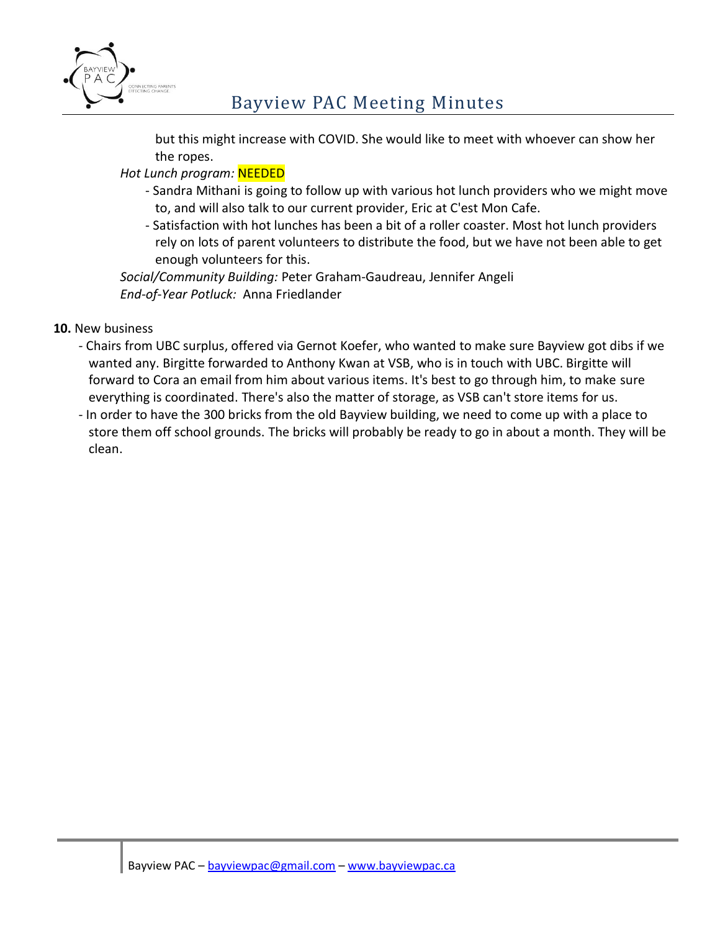

but this might increase with COVID. She would like to meet with whoever can show her the ropes.

*Hot Lunch program:* NEEDED

- Sandra Mithani is going to follow up with various hot lunch providers who we might move to, and will also talk to our current provider, Eric at C'est Mon Cafe.
- Satisfaction with hot lunches has been a bit of a roller coaster. Most hot lunch providers rely on lots of parent volunteers to distribute the food, but we have not been able to get enough volunteers for this.

*Social/Community Building:* Peter Graham-Gaudreau, Jennifer Angeli *End-of-Year Potluck:* Anna Friedlander

- **10.** New business
	- Chairs from UBC surplus, offered via Gernot Koefer, who wanted to make sure Bayview got dibs if we wanted any. Birgitte forwarded to Anthony Kwan at VSB, who is in touch with UBC. Birgitte will forward to Cora an email from him about various items. It's best to go through him, to make sure everything is coordinated. There's also the matter of storage, as VSB can't store items for us.
	- In order to have the 300 bricks from the old Bayview building, we need to come up with a place to store them off school grounds. The bricks will probably be ready to go in about a month. They will be clean.